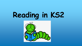# **Reading in KS2**

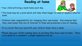## **Reading at home**

•This book may be a novel which will take them longer to read or maybe a shorter

•Children take responsibility for changing their own books - this ensures that they read books that are of interest to them and promotes a love of reading.

- •Your child will bring a book home each day.
- book.
- 
- It is crucial that you read with your child at least twice a week.
- is no need for a comment: a simple signature will do.



• Please sign your child's reading diary so we know they have read at home. There

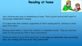## **Reading at home**

discourage independent reading.

aloud to an adult.

- Your children may read to themselves at home. That is great and we don't want to
- It is important that children, regardless of their reading ability, continue to read
- Reading aloud makes it easier for children to remember words. They are also less
- When you listen to your child read aloud, it **can help you determine how accurately**



likely to miss words out than if they read silently.

**they are reading and how much they understand.**

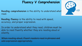#### **Fluency V Comprehension**





**Reading comprehension** is the ability to understand what read.

**Reading fluency** is the ability to read with speed, accuracy, and proper expression.

In order to understand what they read, children must be able to read fluently whether they are reading aloud or silently.

When reading aloud, fluent readers read in phrases and add expression appropriately.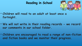## **Reading in School**



## • **We will not write in their reading records - we record**

- **Children will read to an adult at least once a fortnight.**
- **our comments in our school folder.**
- **and fiction books and we monitor their progress.**

• **Children are encouraged to read a range of non-fiction** 



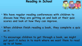#### **Reading in School**



# **discuss how they are getting on and look at their quiz**

- **We have regular reading conferences with children to scores and look at how they can improve.**
- **on it.**
- **up to at home.**

#### • **When children finish reading a book, they complete a quiz**

#### • **To encourage children to get through a book, we might put post-it notes in to mark where we want them to read**



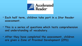

#### • **Each half term, children take part in a Star Reader assessment.**

• **This is a series of questions which tests comprehension** 

• **After they have completed the assessment, children** 



- **and understanding of vocabulary.**
- **are given a Zone of Proximal Development (ZPD)**

## Accelerated<br>Reader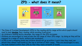## **ZPD - what does it mean?**



• The Zone of Proximal Development (ZPD) is the reading ability range within which pupils should

- read to best **develop** their reading, while avoiding frustration.
- As children's reading ability develops, the range of the ZPD increases.
- Children are encouraged to read across the full range of their ZPD range by doing so they will be exposed to a range of texts, authors and vocabulary.
- the book numbers within their ZPD so that they read a breadth of books.

• A ZPD is not a stepping stone and children should not go up within it each time they read, nor should they always read books at the top or bottom of their range. They are encouraged to vary